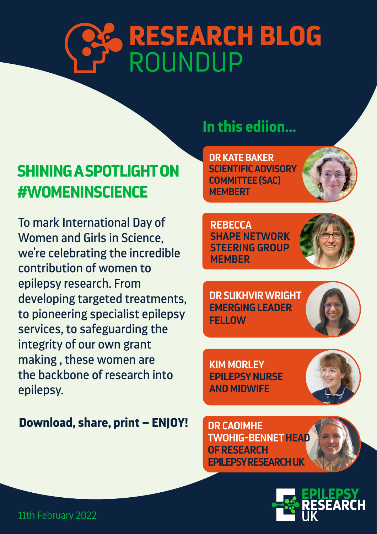# ROUNDUP **RESEARCH BLOG**

## **SHINING A SPOTLIGHT ON #WOMENINSCIENCE**

To mark International Day of Women and Girls in Science, we're celebrating the incredible contribution of women to epilepsy research. From developing targeted treatments, to pioneering specialist epilepsy services, to safeguarding the integrity of our own grant making , these women are the backbone of research into epilepsy.

### **Download, share, print – ENJOY!**

## **In this ediion...**

**DR KATE BAKER SCIENTIFIC ADVISORY COMMITTEE (SAC) MEMBERT**

**REBECCA SHAPE NETWORK STEERING GROUP MEMBER**



**DR SUKHVIR WRIGHT EMERGING LEADER FELLOW**

**KIM MORLEY EPILEPSY NURSE AND MIDWIFE**



**DR CAOIMHE TWOHIG-BENNET HEAD OF RESEARCH EPILEPSY RESEARCH UK**

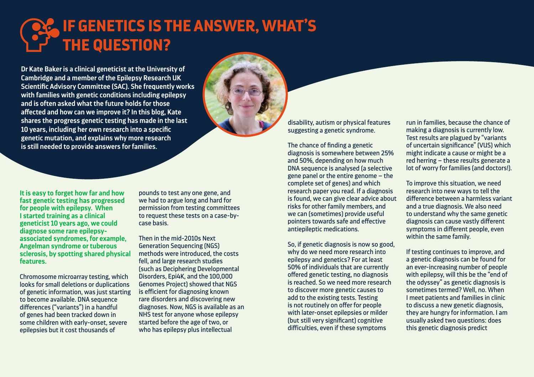**It is easy to forget how far and how fast genetic testing has progressed for people with epilepsy. When I started training as a clinical geneticist 10 years ago, we could diagnose some rare epilepsyassociated syndromes, for example, Angelman syndrome or tuberous sclerosis, by spotting shared physical features.** 

Chromosome microarray testing, which looks for small deletions or duplications of genetic information, was just starting to become available. DNA sequence differences ("variants") in a handful of genes had been tracked down in some children with early-onset, severe epilepsies but it cost thousands of

pounds to test any one gene, and we had to argue long and hard for permission from testing committees to request these tests on a case-bycase basis.

Then in the mid-2010s Next Generation Sequencing (NGS) methods were introduced, the costs fell, and large research studies (such as Deciphering Developmental Disorders, Epi4K, and the 100,000 Genomes Project) showed that NGS is efficient for diagnosing known rare disorders and discovering new diagnoses. Now, NGS is available as an NHS test for anyone whose epilepsy started before the age of two, or who has epilepsy plus intellectual

## **IF GENETICS IS THE ANSWER, WHAT'S THE QUESTION?**

**Dr Kate Baker is a clinical geneticist at the University of Cambridge and a member of the Epilepsy Research UK Scientific Advisory Committee (SAC). She frequently works with families with genetic conditions including epilepsy and is often asked what the future holds for those affected and how can we improve it? In this blog, Kate shares the progress genetic testing has made in the last 10 years, including her own research into a specific genetic mutation, and explains why more research is still needed to provide answers for families.**



disability, autism or physical features suggesting a genetic syndrome.

The chance of finding a genetic diagnosis is somewhere between 25% and 50%, depending on how much DNA sequence is analysed (a selective gene panel or the entire genome – the complete set of genes) and which research paper you read. If a diagnosis is found, we can give clear advice about risks for other family members, and we can (sometimes) provide useful pointers towards safe and effective antiepileptic medications.

So, if genetic diagnosis is now so good, why do we need more research into epilepsy and genetics? For at least 50% of individuals that are currently offered genetic testing, no diagnosis is reached. So we need more research to discover more genetic causes to add to the existing tests. Testing is not routinely on offer for people with later-onset epilepsies or milder (but still very significant) cognitive difficulties, even if these symptoms

run in families, because the chance of making a diagnosis is currently low. Test results are plagued by "variants of uncertain significance" (VUS) which might indicate a cause or might be a red herring – these results generate a lot of worry for families (and doctors!).

To improve this situation, we need research into new ways to tell the difference between a harmless variant and a true diagnosis. We also need to understand why the same genetic diagnosis can cause vastly different symptoms in different people, even within the same family.

If testing continues to improve, and a genetic diagnosis can be found for an ever-increasing number of people with epilepsy, will this be the "end of the odyssey" as genetic diagnosis is sometimes termed? Well, no. When I meet patients and families in clinic to discuss a new genetic diagnosis, they are hungry for information. I am usually asked two questions: does this genetic diagnosis predict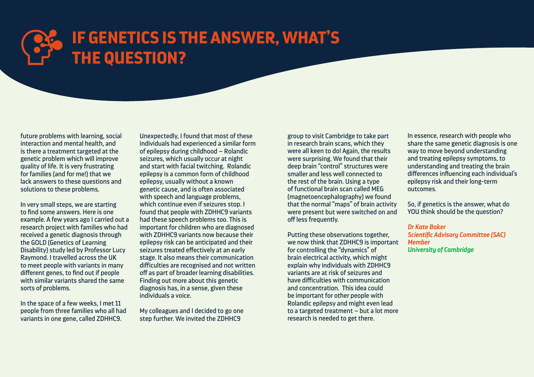# **IF GENETICS IS THE ANSWER, WHAT'S THE QUESTION?**

future problems with learning, social interaction and mental health, and is there a treatment targeted at the genetic problem which will improve quality of life. It is very frustrating for families (and for me!) that we lack answers to these questions and solutions to these problems.

In very small steps, we are starting to find some answers. Here is one example. A few years ago I carried out a research project with families who had received a genetic diagnosis through the GOLD (Genetics of Learning Disability) study led by Professor Lucy Raymond. I travelled across the UK to meet people with variants in many different genes, to find out if people with similar variants shared the same sorts of problems.

In the space of a few weeks, I met 11 people from three families who all had variants in one gene, called ZDHHC9.

Unexpectedly, I found that most of these individuals had experienced a similar form of epilepsy during childhood – Rolandic seizures, which usually occur at night and start with facial twitching. Rolandic epilepsy is a common form of childhood epilepsy, usually without a known genetic cause, and is often associated with speech and language problems, which continue even if seizures stop. I found that people with ZDHHC9 variants had these speech problems too. This is important for children who are diagnosed with ZDHHC9 variants now because their epilepsy risk can be anticipated and their seizures treated effectively at an early stage. It also means their communication difficulties are recognised and not written off as part of broader learning disabilities. Finding out more about this genetic diagnosis has, in a sense, given these individuals a voice.

My colleagues and I decided to go one step further. We invited the ZDHHC9

group to visit Cambridge to take part in research brain scans, which they were all keen to do! Again, the results were surprising. We found that their deep brain "control" structures were smaller and less well connected to the rest of the brain. Using a type of functional brain scan called MEG (magnetoencephalography) we found that the normal "maps" of brain activity were present but were switched on and off less frequently.

Putting these observations together, we now think that ZDHHC9 is important for controlling the "dynamics" of brain electrical activity, which might explain why individuals with ZDHHC9 variants are at risk of seizures and have difficulties with communication and concentration. This idea could be important for other people with Rolandic epilepsy and might even lead to a targeted treatment – but a lot more research is needed to get there.

In essence, research with people who share the same genetic diagnosis is one way to move beyond understanding and treating epilepsy symptoms, to understanding and treating the brain differences influencing each individual's epilepsy risk and their long-term outcomes.

So, if genetics is the answer, what do YOU think should be the question?

*Dr Kate Baker Scientific Advisory Committee (SAC) Member University of Cambridge*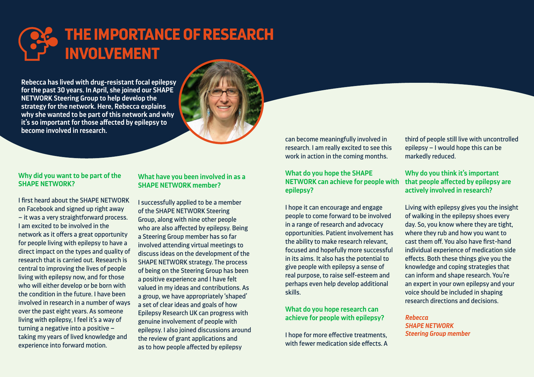

I first heard about the SHAPE NETWORK on Facebook and signed up right away – it was a very straightforward process. I am excited to be involved in the network as it offers a great opportunity for people living with epilepsy to have a direct impact on the types and quality of research that is carried out. Research is central to improving the lives of people living with epilepsy now, and for those who will either develop or be born with the condition in the future. I have been involved in research in a number of ways over the past eight years. As someone living with epilepsy, I feel it's a way of turning a negative into a positive – taking my years of lived knowledge and experience into forward motion.

can become meaningfully involved in research. I am really excited to see this work in action in the coming months.

#### **What do you hope the SHAPE NETWORK can achieve for people with epilepsy?**

I hope it can encourage and engage people to come forward to be involved in a range of research and advocacy opportunities. Patient involvement has the ability to make research relevant, focused and hopefully more successful in its aims. It also has the potential to give people with epilepsy a sense of real purpose, to raise self-esteem and perhaps even help develop additional skills.

#### **What do you hope research can achieve for people with epilepsy?**

I hope for more effective treatments, with fewer medication side effects. A

#### **What have you been involved in as a SHAPE NETWORK member?**

I successfully applied to be a member of the SHAPE NETWORK Steering Group, along with nine other people who are also affected by epilepsy. Being a Steering Group member has so far involved attending virtual meetings to discuss ideas on the development of the SHAPE NETWORK strategy. The process of being on the Steering Group has been a positive experience and I have felt valued in my ideas and contributions. As a group, we have appropriately 'shaped' a set of clear ideas and goals of how Epilepsy Research UK can progress with genuine involvement of people with epilepsy. I also joined discussions around the review of grant applications and as to how people affected by epilepsy

third of people still live with uncontrolled epilepsy – I would hope this can be markedly reduced.

#### **Why do you think it's important that people affected by epilepsy are actively involved in research?**

Living with epilepsy gives you the insight of walking in the epilepsy shoes every day. So, you know where they are tight, where they rub and how you want to cast them off. You also have first-hand individual experience of medication side effects. Both these things give you the knowledge and coping strategies that can inform and shape research. You're an expert in your own epilepsy and your voice should be included in shaping research directions and decisions.

*Rebecca SHAPE NETWORK Steering Group member*

**Rebecca has lived with drug-resistant focal epilepsy for the past 30 years. In April, she joined our SHAPE NETWORK Steering Group to help develop the strategy for the network. Here, Rebecca explains why she wanted to be part of this network and why it's so important for those affected by epilepsy to become involved in research.** 

## **THE IMPORTANCE OF RESEARCH INVOLVEMENT**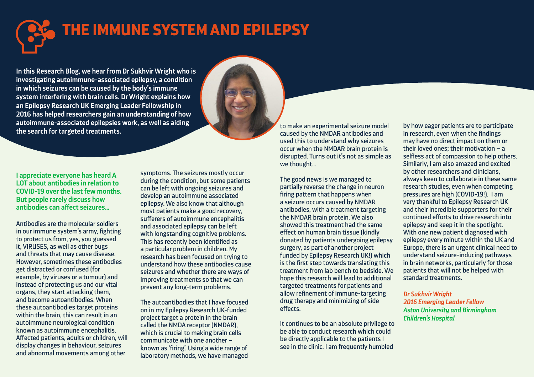**I appreciate everyone has heard A LOT about antibodies in relation to COVID-19 over the last few months. But people rarely discuss how antibodies can affect seizures…**

Antibodies are the molecular soldiers in our immune system's army, fighting to protect us from, yes, you guessed it, VIRUSES, as well as other bugs and threats that may cause disease. However, sometimes these antibodies get distracted or confused (for example, by viruses or a tumour) and instead of protecting us and our vital organs, they start attacking them, and become autoantibodies. When these autoantibodies target proteins within the brain, this can result in an autoimmune neurological condition known as autoimmune encephalitis. Affected patients, adults or children, will display changes in behaviour, seizures and abnormal movements among other

symptoms. The seizures mostly occur during the condition, but some patients can be left with ongoing seizures and develop an autoimmune associated epilepsy. We also know that although most patients make a good recovery, sufferers of autoimmune encephalitis and associated epilepsy can be left with longstanding cognitive problems. This has recently been identified as a particular problem in children. My research has been focused on trying to understand how these antibodies cause seizures and whether there are ways of improving treatments so that we can prevent any long-term problems.

The autoantibodies that I have focused on in my Epilepsy Research UK-funded project target a protein in the brain called the NMDA receptor (NMDAR), which is crucial to making brain cells communicate with one another – known as 'firing'. Using a wide range of laboratory methods, we have managed

to make an experimental seizure model caused by the NMDAR antibodies and used this to understand why seizures occur when the NMDAR brain protein is disrupted. Turns out it's not as simple as we thought…

The good news is we managed to partially reverse the change in neuron firing pattern that happens when a seizure occurs caused by NMDAR antibodies, with a treatment targeting the NMDAR brain protein. We also showed this treatment had the same effect on human brain tissue (kindly donated by patients undergoing epilepsy surgery, as part of another project funded by Epilepsy Research UK!) which is the first step towards translating this treatment from lab bench to bedside. We hope this research will lead to additional targeted treatments for patients and allow refinement of immune-targeting drug therapy and minimizing of side effects.

It continues to be an absolute privilege to be able to conduct research which could be directly applicable to the patients I see in the clinic. I am frequently humbled

**In this Research Blog, we hear from Dr Sukhvir Wright who is investigating autoimmune-associated epilepsy, a condition in which seizures can be caused by the body's immune system interfering with brain cells. Dr Wright explains how an Epilepsy Research UK Emerging Leader Fellowship in 2016 has helped researchers gain an understanding of how autoimmune-associated epilepsies work, as well as aiding the search for targeted treatments.**

# **THE IMMUNE SYSTEM AND EPILEPSY**

by how eager patients are to participate in research, even when the findings may have no direct impact on them or their loved ones; their motivation – a selfless act of compassion to help others. Similarly, I am also amazed and excited by other researchers and clinicians, always keen to collaborate in these same research studies, even when competing pressures are high (COVID-19!). I am very thankful to Epilepsy Research UK and their incredible supporters for their continued efforts to drive research into epilepsy and keep it in the spotlight. With one new patient diagnosed with epilepsy every minute within the UK and Europe, there is an urgent clinical need to understand seizure-inducing pathways in brain networks, particularly for those patients that will not be helped with standard treatments.

*Dr Sukhvir Wright 2016 Emerging Leader Fellow Aston University and Birmingham Children's Hospital*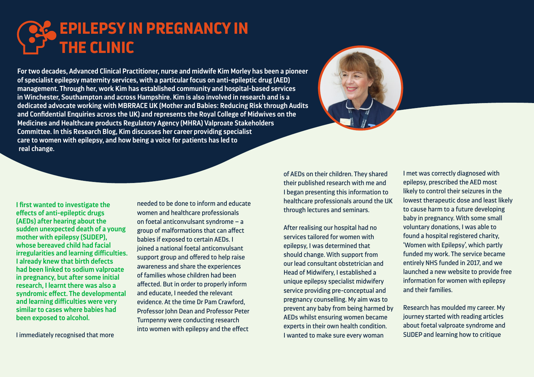

I immediately recognised that more

needed to be done to inform and educate women and healthcare professionals on foetal anticonvulsant syndrome – a group of malformations that can affect babies if exposed to certain AEDs. I joined a national foetal anticonvulsant support group and offered to help raise awareness and share the experiences of families whose children had been affected. But in order to properly inform and educate, I needed the relevant evidence. At the time Dr Pam Crawford, Professor John Dean and Professor Peter Turnpenny were conducting research into women with epilepsy and the effect

## **EPILEPSY IN PREGNANCY IN THE CLINIC**

**For two decades, Advanced Clinical Practitioner, nurse and midwife Kim Morley has been a pioneer of specialist epilepsy maternity services, with a particular focus on anti-epileptic drug (AED) management. Through her, work Kim has established community and hospital-based services in Winchester, Southampton and across Hampshire. Kim is also involved in research and is a dedicated advocate working with MBRRACE UK (Mother and Babies: Reducing Risk through Audits and Confidential Enquiries across the UK) and represents the Royal College of Midwives on the Medicines and Healthcare products Regulatory Agency (MHRA) Valproate Stakeholders Committee. In this Research Blog, Kim discusses her career providing specialist care to women with epilepsy, and how being a voice for patients has led to real change.**

> of AEDs on their children. They shared their published research with me and I began presenting this information to healthcare professionals around the UK through lectures and seminars.

> After realising our hospital had no services tailored for women with epilepsy, I was determined that should change. With support from our lead consultant obstetrician and Head of Midwifery, I established a unique epilepsy specialist midwifery service providing pre-conceptual and pregnancy counselling. My aim was to prevent any baby from being harmed by AEDs whilst ensuring women became experts in their own health condition. I wanted to make sure every woman



I met was correctly diagnosed with epilepsy, prescribed the AED most likely to control their seizures in the lowest therapeutic dose and least likely to cause harm to a future developing baby in pregnancy. With some small voluntary donations, I was able to found a hospital registered charity, 'Women with Epilepsy', which partly funded my work. The service became entirely NHS funded in 2017, and we launched a new website to provide free information for women with epilepsy and their families.

Research has moulded my career. My journey started with reading articles about foetal valproate syndrome and SUDEP and learning how to critique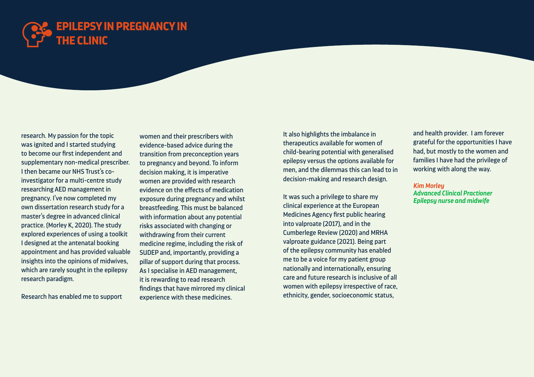

research. My passion for the topic was ignited and I started studying to become our first independent and supplementary non-medical prescriber. I then became our NHS Trust's coinvestigator for a multi-centre study researching AED management in pregnancy. I've now completed my own dissertation research study for a master's degree in advanced clinical practice. (Morley K, 2020). The study explored experiences of using a toolkit I designed at the antenatal booking appointment and has provided valuable insights into the opinions of midwives, which are rarely sought in the epilepsy research paradigm.

Research has enabled me to support

women and their prescribers with evidence-based advice during the transition from preconception years to pregnancy and beyond. To inform decision making, it is imperative women are provided with research evidence on the effects of medication exposure during pregnancy and whilst breastfeeding. This must be balanced with information about any potential risks associated with changing or withdrawing from their current medicine regime, including the risk of SUDEP and, importantly, providing a pillar of support during that process. As I specialise in AED management, it is rewarding to read research findings that have mirrored my clinical experience with these medicines.

It also highlights the imbalance in therapeutics available for women of child-bearing potential with generalised epilepsy versus the options available for men, and the dilemmas this can lead to in decision-making and research design.

It was such a privilege to share my clinical experience at the European Medicines Agency first public hearing into valproate (2017), and in the Cumberlege Review (2020) and MRHA valproate guidance (2021). Being part of the epilepsy community has enabled me to be a voice for my patient group nationally and internationally, ensuring care and future research is inclusive of all women with epilepsy irrespective of race, ethnicity, gender, socioeconomic status,

and health provider. I am forever grateful for the opportunities I have had, but mostly to the women and families I have had the privilege of working with along the way.

*Kim Morley Advanced Clinical Practioner Epilepsy nurse and midwife*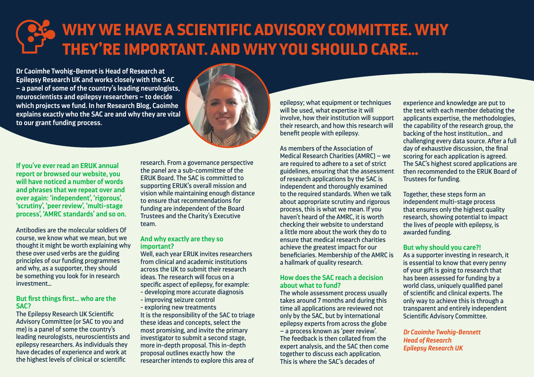**If you've ever read an ERUK annual report or browsed our website, you will have noticed a number of words and phrases that we repeat over and over again: 'independent', 'rigorous', 'scrutiny', 'peer review', 'multi-stage process', 'AMRC standards' and so on.**

Antibodies are the molecular soldiers Of course, we know what we mean, but we thought it might be worth explaining why these over used verbs are the guiding principles of our funding programmes and why, as a supporter, they should be something you look for in research investment…

#### **But first things first… who are the SAC?**

The Epilepsy Research UK Scientific Advisory Committee (or SAC to you and me) is a panel of some the country's leading neurologists, neuroscientists and epilepsy researchers. As individuals they have decades of experience and work at the highest levels of clinical or scientific

research. From a governance perspective the panel are a sub-committee of the ERUK Board. The SAC is committed to supporting ERUK's overall mission and vision while maintaining enough distance to ensure that recommendations for funding are independent of the Board Trustees and the Charity's Executive team.

#### **And why exactly are they so important?**

Well, each year ERUK invites researchers from clinical and academic institutions across the UK to submit their research ideas. The research will focus on a specific aspect of epilepsy, for example:

- developing more accurate diagnosis
- improving seizure control
- exploring new treatments

It is the responsibility of the SAC to triage these ideas and concepts, select the most promising, and invite the primary investigator to submit a second stage, more in-depth proposal. This in-depth proposal outlines exactly how the researcher intends to explore this area of

epilepsy; what equipment or techniques will be used, what expertise it will involve, how their institution will support their research, and how this research will benefit people with epilepsy.

As members of the Association of Medical Research Charities (AMRC) – we are required to adhere to a set of strict guidelines, ensuring that the assessment of research applications by the SAC is independent and thoroughly examined to the required standards. When we talk about appropriate scrutiny and rigorous process, this is what we mean. If you haven't heard of the AMRC, it is worth checking their website to understand a little more about the work they do to ensure that medical research charities achieve the greatest impact for our beneficiaries. Membership of the AMRC is a hallmark of quality research.

#### **How does the SAC reach a decision about what to fund?**

The whole assessment process usually takes around 7 months and during this time all applications are reviewed not only by the SAC, but by international epilepsy experts from across the globe – a process known as 'peer review'. The feedback is then collated from the expert analysis, and the SAC then come together to discuss each application. This is where the SAC's decades of

**Dr Caoimhe Twohig-Bennet is Head of Research at Epilepsy Research UK and works closely with the SAC – a panel of some of the country's leading neurologists, neuroscientists and epilepsy researchers – to decide which projects we fund. In her Research Blog, Caoimhe explains exactly who the SAC are and why they are vital to our grant funding process.** 



# **WHY WE HAVE A SCIENTIFIC ADVISORY COMMITTEE. WHY THEY'RE IMPORTANT. AND WHY YOU SHOULD CARE…**

experience and knowledge are put to the test with each member debating the applicants expertise, the methodologies, the capability of the research group, the backing of the host institution… and challenging every data source. After a full day of exhaustive discussion, the final scoring for each application is agreed. The SAC's highest scored applications are then recommended to the ERUK Board of Trustees for funding.

Together, these steps form an independent multi-stage process that ensures only the highest quality research, showing potential to impact the lives of people with epilepsy, is awarded funding.

#### **But why should you care?!**

As a supporter investing in research, it is essential to know that every penny of your gift is going to research that has been assessed for funding by a world class, uniquely qualified panel of scientific and clinical experts. The only way to achieve this is through a transparent and entirely independent Scientific Advisory Committee.

*Dr Caoimhe Twohig-Bennett Head of Research Epilepsy Research UK*